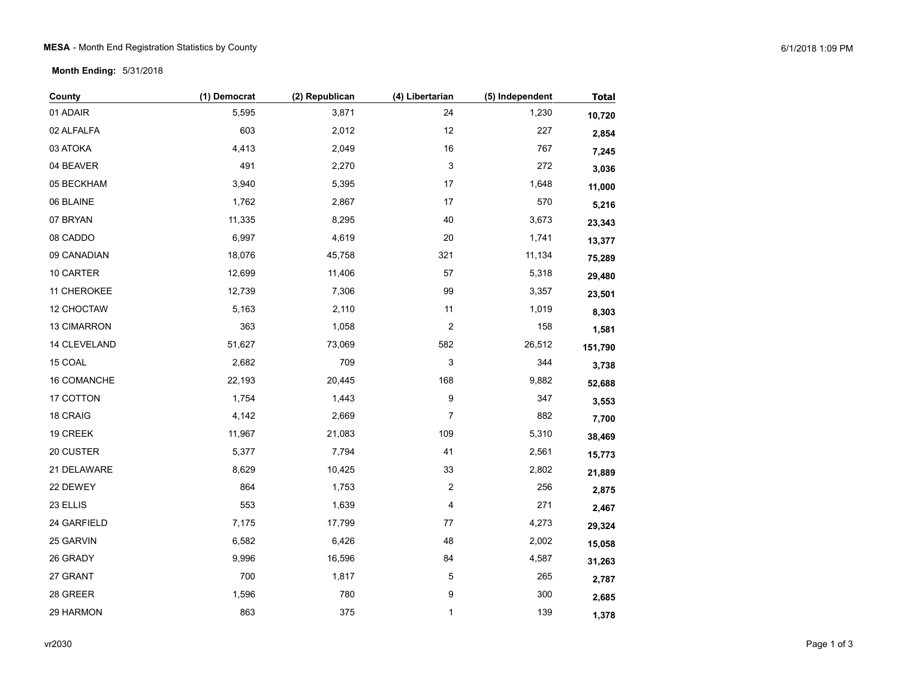**Month Ending:** 5/31/2018

| County       | (1) Democrat | (2) Republican | (4) Libertarian         | (5) Independent | <b>Total</b> |
|--------------|--------------|----------------|-------------------------|-----------------|--------------|
| 01 ADAIR     | 5,595        | 3,871          | 24                      | 1,230           | 10,720       |
| 02 ALFALFA   | 603          | 2,012          | 12                      | 227             | 2,854        |
| 03 ATOKA     | 4,413        | 2,049          | $16\,$                  | 767             | 7,245        |
| 04 BEAVER    | 491          | 2,270          | 3                       | 272             | 3,036        |
| 05 BECKHAM   | 3,940        | 5,395          | $17\,$                  | 1,648           | 11,000       |
| 06 BLAINE    | 1,762        | 2,867          | 17                      | 570             | 5,216        |
| 07 BRYAN     | 11,335       | 8,295          | 40                      | 3,673           | 23,343       |
| 08 CADDO     | 6,997        | 4,619          | 20                      | 1,741           | 13,377       |
| 09 CANADIAN  | 18,076       | 45,758         | 321                     | 11,134          | 75,289       |
| 10 CARTER    | 12,699       | 11,406         | 57                      | 5,318           | 29,480       |
| 11 CHEROKEE  | 12,739       | 7,306          | 99                      | 3,357           | 23,501       |
| 12 CHOCTAW   | 5,163        | 2,110          | 11                      | 1,019           | 8,303        |
| 13 CIMARRON  | 363          | 1,058          | $\overline{c}$          | 158             | 1,581        |
| 14 CLEVELAND | 51,627       | 73,069         | 582                     | 26,512          | 151,790      |
| 15 COAL      | 2,682        | 709            | 3                       | 344             | 3,738        |
| 16 COMANCHE  | 22,193       | 20,445         | 168                     | 9,882           | 52,688       |
| 17 COTTON    | 1,754        | 1,443          | 9                       | 347             | 3,553        |
| 18 CRAIG     | 4,142        | 2,669          | $\overline{7}$          | 882             | 7,700        |
| 19 CREEK     | 11,967       | 21,083         | 109                     | 5,310           | 38,469       |
| 20 CUSTER    | 5,377        | 7,794          | 41                      | 2,561           | 15,773       |
| 21 DELAWARE  | 8,629        | 10,425         | 33                      | 2,802           | 21,889       |
| 22 DEWEY     | 864          | 1,753          | $\overline{\mathbf{c}}$ | 256             | 2,875        |
| 23 ELLIS     | 553          | 1,639          | 4                       | 271             | 2,467        |
| 24 GARFIELD  | 7,175        | 17,799         | $77\,$                  | 4,273           | 29,324       |
| 25 GARVIN    | 6,582        | 6,426          | 48                      | 2,002           | 15,058       |
| 26 GRADY     | 9,996        | 16,596         | 84                      | 4,587           | 31,263       |
| 27 GRANT     | 700          | 1,817          | 5                       | 265             | 2,787        |
| 28 GREER     | 1,596        | 780            | 9                       | 300             | 2,685        |
| 29 HARMON    | 863          | 375            | 1                       | 139             | 1,378        |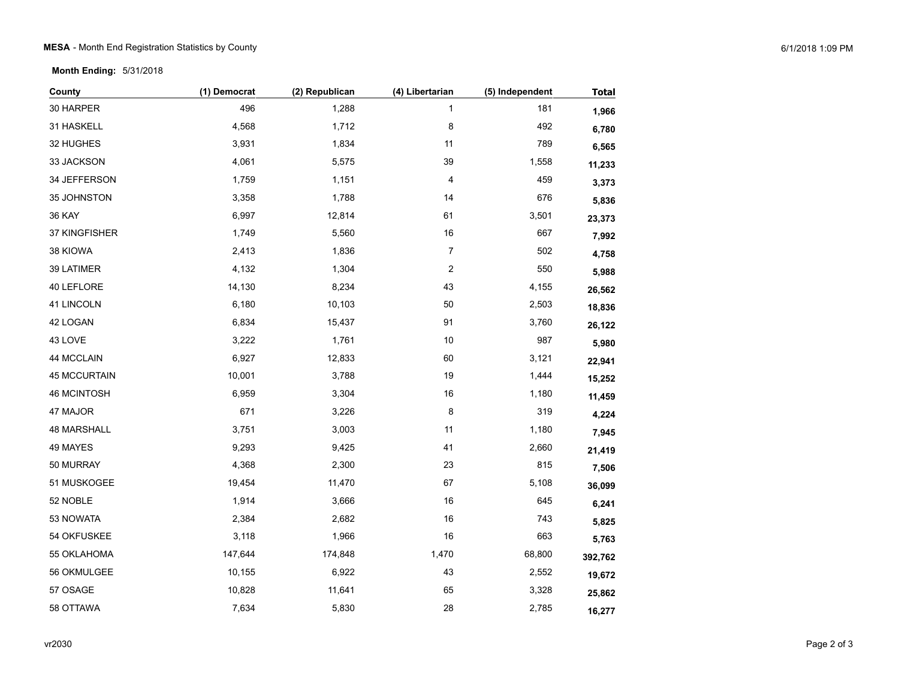**Month Ending:** 5/31/2018

| County              | (1) Democrat | (2) Republican | (4) Libertarian         | (5) Independent | <b>Total</b> |
|---------------------|--------------|----------------|-------------------------|-----------------|--------------|
| 30 HARPER           | 496          | 1,288          | 1                       | 181             | 1,966        |
| 31 HASKELL          | 4,568        | 1,712          | 8                       | 492             | 6,780        |
| 32 HUGHES           | 3,931        | 1,834          | 11                      | 789             | 6,565        |
| 33 JACKSON          | 4,061        | 5,575          | 39                      | 1,558           | 11,233       |
| 34 JEFFERSON        | 1,759        | 1,151          | 4                       | 459             | 3,373        |
| 35 JOHNSTON         | 3,358        | 1,788          | 14                      | 676             | 5,836        |
| <b>36 KAY</b>       | 6,997        | 12,814         | 61                      | 3,501           | 23,373       |
| 37 KINGFISHER       | 1,749        | 5,560          | $16\,$                  | 667             | 7,992        |
| 38 KIOWA            | 2,413        | 1,836          | $\overline{7}$          | 502             | 4,758        |
| 39 LATIMER          | 4,132        | 1,304          | $\overline{\mathbf{c}}$ | 550             | 5,988        |
| 40 LEFLORE          | 14,130       | 8,234          | 43                      | 4,155           | 26,562       |
| 41 LINCOLN          | 6,180        | 10,103         | 50                      | 2,503           | 18,836       |
| 42 LOGAN            | 6,834        | 15,437         | 91                      | 3,760           | 26,122       |
| 43 LOVE             | 3,222        | 1,761          | 10                      | 987             | 5,980        |
| 44 MCCLAIN          | 6,927        | 12,833         | 60                      | 3,121           | 22,941       |
| <b>45 MCCURTAIN</b> | 10,001       | 3,788          | 19                      | 1,444           | 15,252       |
| <b>46 MCINTOSH</b>  | 6,959        | 3,304          | $16$                    | 1,180           | 11,459       |
| 47 MAJOR            | 671          | 3,226          | 8                       | 319             | 4,224        |
| 48 MARSHALL         | 3,751        | 3,003          | 11                      | 1,180           | 7,945        |
| 49 MAYES            | 9,293        | 9,425          | 41                      | 2,660           | 21,419       |
| 50 MURRAY           | 4,368        | 2,300          | 23                      | 815             | 7,506        |
| 51 MUSKOGEE         | 19,454       | 11,470         | 67                      | 5,108           | 36,099       |
| 52 NOBLE            | 1,914        | 3,666          | $16$                    | 645             | 6,241        |
| 53 NOWATA           | 2,384        | 2,682          | 16                      | 743             | 5,825        |
| 54 OKFUSKEE         | 3,118        | 1,966          | 16                      | 663             | 5,763        |
| 55 OKLAHOMA         | 147,644      | 174,848        | 1,470                   | 68,800          | 392,762      |
| 56 OKMULGEE         | 10,155       | 6,922          | 43                      | 2,552           | 19,672       |
| 57 OSAGE            | 10,828       | 11,641         | 65                      | 3,328           | 25,862       |
| 58 OTTAWA           | 7,634        | 5,830          | 28                      | 2,785           | 16,277       |